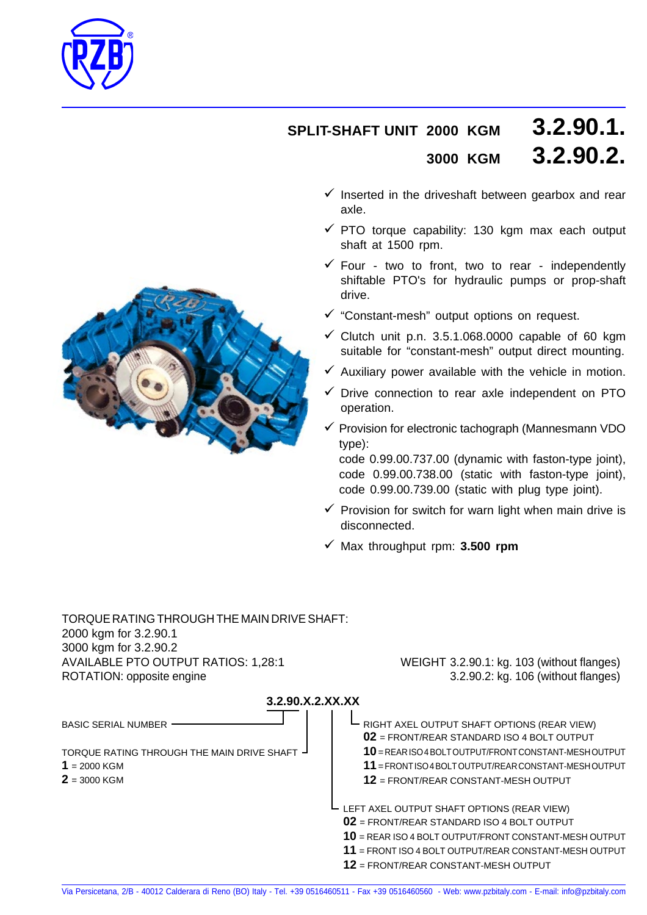

## **3.2.90.1. 3.2.90.2. SPLIT-SHAFT UNIT 2000 KGM 3000 KGM**

- $\checkmark$  Inserted in the driveshaft between gearbox and rear axle.
- $\checkmark$  PTO torque capability: 130 kgm max each output shaft at 1500 rpm.
- $\checkmark$  Four two to front, two to rear independently shiftable PTO's for hydraulic pumps or prop-shaft drive.
- $\checkmark$  "Constant-mesh" output options on request.
- $\checkmark$  Clutch unit p.n. 3.5.1.068.0000 capable of 60 kgm suitable for "constant-mesh" output direct mounting.
- $\checkmark$  Auxiliary power available with the vehicle in motion.
- $\checkmark$  Drive connection to rear axle independent on PTO operation.
- $\checkmark$  Provision for electronic tachograph (Mannesmann VDO type):

code 0.99.00.737.00 (dynamic with faston-type joint), code 0.99.00.738.00 (static with faston-type joint), code 0.99.00.739.00 (static with plug type joint).

- $\checkmark$  Provision for switch for warn light when main drive is disconnected.
- $\checkmark$  Max throughput rpm: **3.500 rpm**

TORQUE RATING THROUGH THE MAIN DRIVE SHAFT: 2000 kgm for 3.2.90.1 3000 kgm for 3.2.90.2 AVAILABLE PTO OUTPUT RATIOS: 1,28:1 ROTATION: opposite engine WEIGHT 3.2.90.1: kg. 103 (without flanges) 3.2.90.2: kg. 106 (without flanges) **3.2.90.X.2.XX.XX** BASIC SERIAL NUMBER TORQUE RATING THROUGH THE MAIN DRIVE SHAFT  $1 = 2000$  KGM **2** = 3000 KGM - RIGHT AXEL OUTPUT SHAFT OPTIONS (REAR VIEW) **02** = FRONT/REAR STANDARD ISO 4 BOLT OUTPUT **10** = REAR ISO 4 BOLT OUTPUT/FRONT CONSTANT-MESH OUTPUT **11** = FRONT ISO 4 BOLT OUTPUT/REAR CONSTANT-MESH OUTPUT **12** = FRONT/REAR CONSTANT-MESH OUTPUT

- LEFT AXEL OUTPUT SHAFT OPTIONS (REAR VIEW)
	- **02** = FRONT/REAR STANDARD ISO 4 BOLT OUTPUT
	- **10** = REAR ISO 4 BOLT OUTPUT/FRONT CONSTANT-MESH OUTPUT
	- **11** = FRONT ISO 4 BOLT OUTPUT/REAR CONSTANT-MESH OUTPUT
	- **12** = FRONT/REAR CONSTANT-MESH OUTPUT

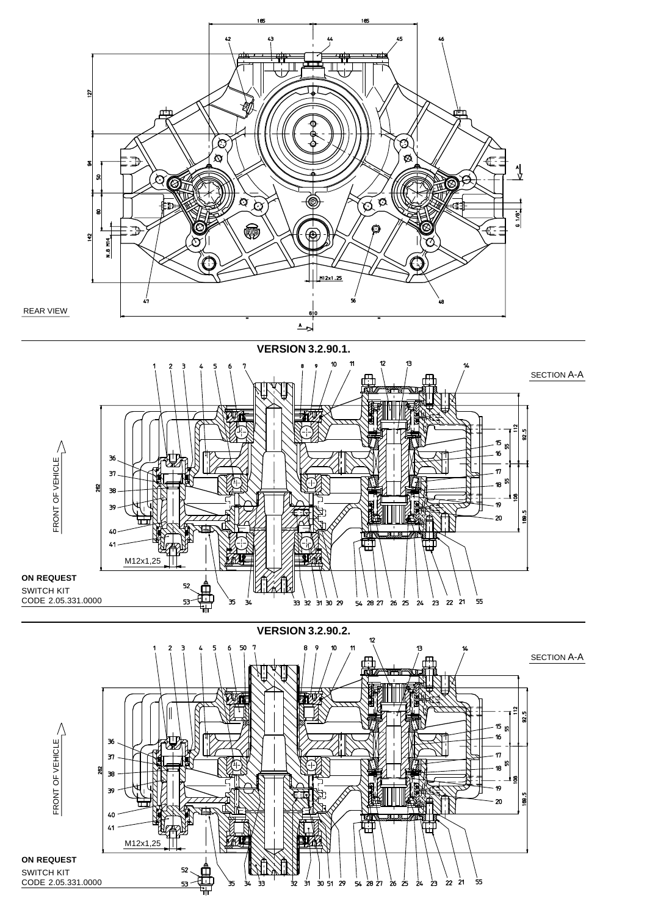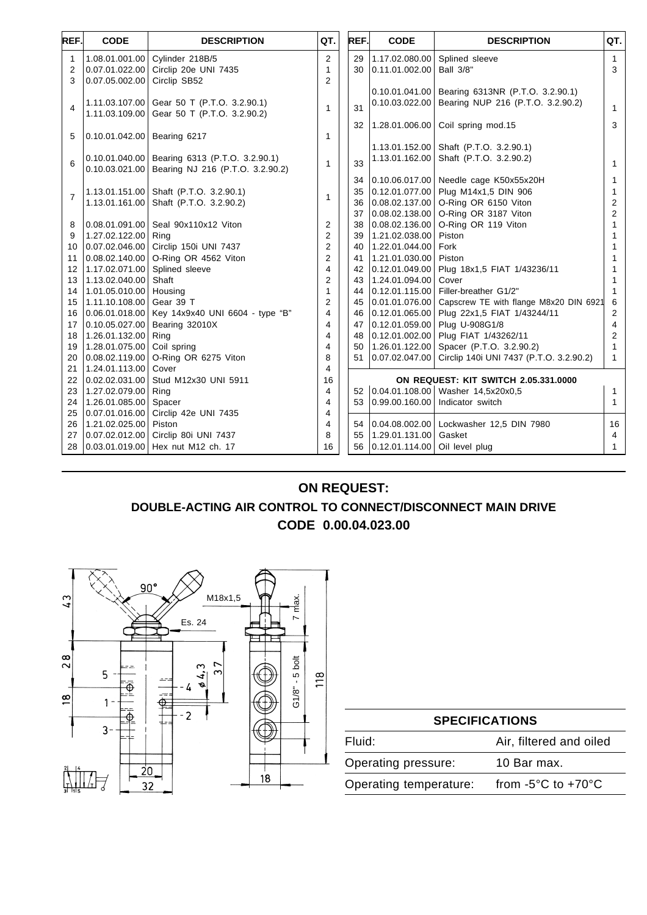| REF.           | <b>CODE</b>                          | <b>DESCRIPTION</b>                                | QT.                     | REF. | <b>CODE</b>                   | <b>DESCRIPTION</b>                                           | QT.            |
|----------------|--------------------------------------|---------------------------------------------------|-------------------------|------|-------------------------------|--------------------------------------------------------------|----------------|
| $\mathbf{1}$   |                                      | 1.08.01.001.00   Cylinder 218B/5                  | $\overline{2}$          | 29   | 1.17.02.080.00 Splined sleeve |                                                              | $\mathbf{1}$   |
| 2              |                                      | 0.07.01.022.00 Circlip 20e UNI 7435               | $\mathbf{1}$            |      | 30 0.11.01.002.00             | <b>Ball 3/8"</b>                                             | 3              |
| 3              | 0.07.05.002.00                       | Circlip SB52                                      | 2                       |      |                               |                                                              |                |
|                |                                      |                                                   |                         |      |                               | 0.10.01.041.00   Bearing 6313NR (P.T.O. 3.2.90.1)            |                |
| $\overline{4}$ |                                      | 1.11.03.107.00 Gear 50 T (P.T.O. 3.2.90.1)        | $\mathbf{1}$            | 31   | 0.10.03.022.00                | Bearing NUP 216 (P.T.O. 3.2.90.2)                            |                |
|                |                                      | 1.11.03.109.00 Gear 50 T (P.T.O. 3.2.90.2)        |                         |      |                               |                                                              | 1              |
|                |                                      |                                                   |                         |      | 32   1.28.01.006.00           | Coil spring mod.15                                           | 3              |
| 5              | 0.10.01.042.00 Bearing 6217          |                                                   | 1                       |      |                               |                                                              |                |
|                |                                      |                                                   |                         |      |                               | 1.13.01.152.00 Shaft (P.T.O. 3.2.90.1)                       |                |
| 6              |                                      | 0.10.01.040.00   Bearing 6313 (P.T.O. 3.2.90.1)   | $\mathbf{1}$            | 33   | 1.13.01.162.00                | Shaft (P.T.O. 3.2.90.2)                                      | $\mathbf{1}$   |
|                |                                      | 0.10.03.021.00   Bearing NJ 216 (P.T.O. 3.2.90.2) |                         |      |                               |                                                              |                |
|                |                                      |                                                   |                         |      | 34 0.10.06.017.00             | Needle cage K50x55x20H                                       |                |
| $\overline{7}$ |                                      | 1.13.01.151.00 Shaft (P.T.O. 3.2.90.1)            | $\mathbf{1}$            |      | 35 0.12.01.077.00             | Plug M14x1,5 DIN 906                                         | 1              |
|                |                                      | 1.13.01.161.00 Shaft (P.T.O. 3.2.90.2)            |                         |      | 36 0.08.02.137.00             | O-Ring OR 6150 Viton                                         | 2              |
|                |                                      |                                                   |                         | 37   | 0.08.02.138.00                | O-Ring OR 3187 Viton                                         | 2              |
| 8              |                                      | 0.08.01.091.00 Seal 90x110x12 Viton               | 2                       |      | 38   0.08.02.136.00           | O-Ring OR 119 Viton                                          | 1              |
| 9              | 1.27.02.122.00 Ring                  |                                                   | $\overline{2}$          |      | 39   1.21.02.038.00           | Piston                                                       |                |
|                |                                      | 10 0.07.02.046.00 Circlip 150i UNI 7437           | $\overline{2}$          |      | 40   1.22.01.044.00           | Fork                                                         |                |
| 11             |                                      | 0.08.02.140.00   O-Ring OR 4562 Viton             | $\overline{2}$          |      | 41   1.21.01.030.00           | Piston                                                       |                |
|                | 12   1.17.02.071.00   Splined sleeve |                                                   | 4                       |      | 42 0.12.01.049.00             | Plug 18x1,5 FIAT 1/43236/11                                  |                |
|                | 13   1.13.02.040.00   Shaft          |                                                   | $\overline{2}$          |      | 43   1.24.01.094.00           | Cover                                                        |                |
| 14 I           | 1.01.05.010.00 Housing               |                                                   | $\mathbf{1}$            | 44   |                               | 0.12.01.115.00 Filler-breather G1/2"                         |                |
|                | 15   1.11.10.108.00   Gear 39 T      |                                                   | $\overline{2}$          |      |                               | 45   0.01.01.076.00   Capscrew TE with flange M8x20 DIN 6921 | 6              |
|                |                                      | 16 0.06.01.018.00 Key 14x9x40 UNI 6604 - type "B" | 4                       |      | 46   0.12.01.065.00           | Plug 22x1,5 FIAT 1/43244/11                                  | 2              |
|                | 17   0.10.05.027.00                  | Bearing 32010X                                    | $\overline{\mathbf{4}}$ |      | 47 0.12.01.059.00             | Plug U-908G1/8                                               | $\overline{4}$ |
|                | 18   1.26.01.132.00   Ring           |                                                   | 4                       |      | 48 0.12.01.002.00             | Plug FIAT 1/43262/11                                         | 2              |
|                | 19   1.28.01.075.00   Coil spring    |                                                   | 4                       |      | 50   1.26.01.122.00           | Spacer (P.T.O. 3.2.90.2)                                     | 1              |
|                |                                      | 20 0.08.02.119.00 O-Ring OR 6275 Viton            | 8                       |      | 51 0.07.02.047.00             | Circlip 140i UNI 7437 (P.T.O. 3.2.90.2)                      | 1              |
|                | 21   1.24.01.113.00   Cover          |                                                   | 4                       |      |                               |                                                              |                |
|                | 22 0.02.02.031.00                    | Stud M12x30 UNI 5911                              | 16                      |      |                               | ON REQUEST: KIT SWITCH 2.05.331.0000                         |                |
|                | 23   1.27.02.079.00                  | Ring                                              | 4                       |      |                               | 52 0.04.01.108.00 Washer 14,5x20x0,5                         | 1              |
|                | 24   1.26.01.085.00   Spacer         |                                                   | 4                       |      |                               | 53 0.99.00.160.00   Indicator switch                         | $\mathbf{1}$   |
|                |                                      | 25 0.07.01.016.00 Circlip 42e UNI 7435            | 4                       |      |                               |                                                              |                |
|                | 26   1.21.02.025.00   Piston         |                                                   | 4                       |      |                               | 54   0.04.08.002.00   Lockwasher 12,5 DIN 7980               | 16             |
|                | 27 0.07.02.012.00                    | Circlip 80i UNI 7437                              | 8                       | 55   | 1.29.01.131.00                | Gasket                                                       | 4              |
|                |                                      | 28 0.03.01.019.00 Hex nut M12 ch. 17              | 16                      | 56   | 0.12.01.114.00 Oil level plug |                                                              | $\mathbf{1}$   |

## **ON REQUEST: DOUBLE-ACTING AIR CONTROL TO CONNECT/DISCONNECT MAIN DRIVE CODE 0.00.04.023.00**



|                        | <b>SPECIFICATIONS</b>                  |  |  |  |  |
|------------------------|----------------------------------------|--|--|--|--|
| Fluid:                 | Air, filtered and oiled                |  |  |  |  |
| Operating pressure:    | 10 Bar max.                            |  |  |  |  |
| Operating temperature: | from $-5^{\circ}$ C to $+70^{\circ}$ C |  |  |  |  |